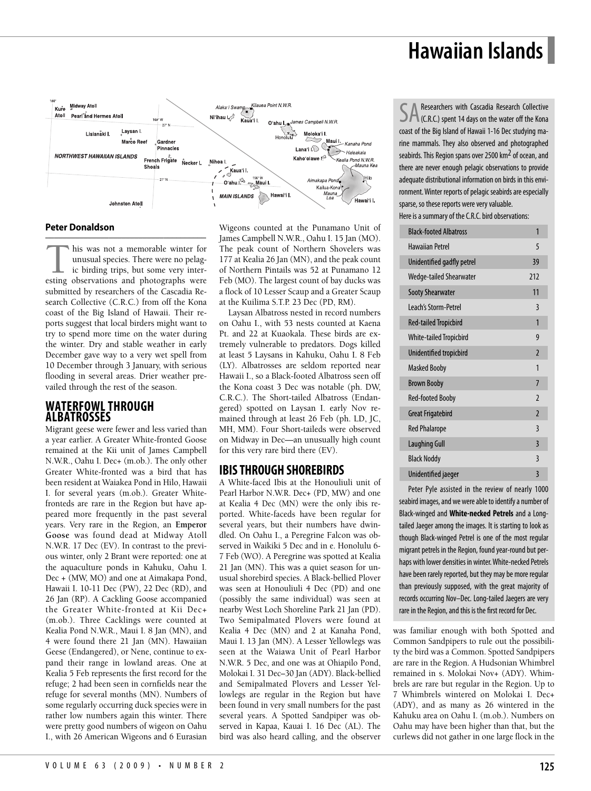# **Hawaiian Islands**



#### **Peter Donaldson**

–––––––––––––––––––––––––––––––––––––– This was not a memorable winter for unusual species. There were no pelagic ic birding trips, but some very interesting observations and photographs were unusual species. There were no pelagic birding trips, but some very intersubmitted by researchers of the Cascadia Research Collective (C.R.C.) from off the Kona coast of the Big Island of Hawaii. Their reports suggest that local birders might want to try to spend more time on the water during the winter. Dry and stable weather in early December gave way to a very wet spell from 10 December through 3 January, with serious flooding in several areas. Drier weather prevailed through the rest of the season.

### **WATERFOWLTHROUGH ALBATROSSES**

Migrant geese were fewer and less varied than a year earlier. A Greater White-fronted Goose remained at the Kii unit of James Campbell N.W.R., Oahu I. Dec+ (m.ob.). The only other Greater White-fronted was a bird that has been resident at Waiakea Pond in Hilo, Hawaii I. for several years (m.ob.). Greater Whitefronteds are rare in the Region but have appeared more frequently in the past several years. Very rare in the Region, an **Emperor Goose** was found dead at Midway Atoll N.W.R. 17 Dec (EV). In contrast to the previous winter, only 2 Brant were reported: one at the aquaculture ponds in Kahuku, Oahu I. Dec + (MW, MO) and one at Aimakapa Pond, Hawaii I. 10-11 Dec (PW), 22 Dec (RD), and 26 Jan (RP). A Cackling Goose accompanied the Greater White-fronted at Kii Dec+ (m.ob.). Three Cacklings were counted at Kealia Pond N.W.R., Maui I. 8 Jan (MN), and 4 were found there 21 Jan (MN). Hawaiian Geese (Endangered), or Nene, continue to expand their range in lowland areas. One at Kealia 5 Feb represents the first record for the refuge; 2 had been seen in cornfields near the refuge for several months (MN). Numbers of some regularly occurring duck species were in rather low numbers again this winter. There were pretty good numbers of wigeon on Oahu I., with 26 American Wigeons and 6 Eurasian Wigeons counted at the Punamano Unit of James Campbell N.W.R., Oahu I. 15 Jan (MO). The peak count of Northern Shovelers was 177 at Kealia 26 Jan (MN), and the peak count of Northern Pintails was 52 at Punamano 12 Feb (MO). The largest count of bay ducks was a flock of 10 Lesser Scaup and a Greater Scaup at the Kuilima S.T.P. 23 Dec (PD, RM).

Laysan Albatross nested in record numbers on Oahu I., with 53 nests counted at Kaena Pt. and 22 at Kuaokala. These birds are extremely vulnerable to predators. Dogs killed at least 5 Laysans in Kahuku, Oahu I. 8 Feb (LY). Albatrosses are seldom reported near Hawaii I., so a Black-footed Albatross seen off the Kona coast 3 Dec was notable (ph. DW, C.R.C.). The Short-tailed Albatross (Endangered) spotted on Laysan I. early Nov remained through at least 26 Feb (ph. LD, JC, MH, MM). Four Short-taileds were observed on Midway in Dec—an unusually high count for this very rare bird there (EV).

# **IBISTHROUGH SHOREBIRDS**

A White-faced Ibis at the Honouliuli unit of Pearl Harbor N.W.R. Dec+ (PD, MW) and one at Kealia 4 Dec (MN) were the only ibis reported. White-faceds have been regular for several years, but their numbers have dwindled. On Oahu I., a Peregrine Falcon was observed in Waikiki 5 Dec and in e. Honolulu 6- 7 Feb (WO). A Peregrine was spotted at Kealia 21 Jan (MN). This was a quiet season for unusual shorebird species. A Black-bellied Plover was seen at Honouliuli 4 Dec (PD) and one (possibly the same individual) was seen at nearby West Loch Shoreline Park 21 Jan (PD). Two Semipalmated Plovers were found at Kealia 4 Dec (MN) and 2 at Kanaha Pond, Maui I. 13 Jan (MN). A Lesser Yellowlegs was seen at the Waiawa Unit of Pearl Harbor N.W.R. 5 Dec, and one was at Ohiapilo Pond, Molokai I. 31 Dec–30 Jan (ADY). Black-bellied and Semipalmated Plovers and Lesser Yellowlegs are regular in the Region but have been found in very small numbers for the past several years. A Spotted Sandpiper was observed in Kapaa, Kauai I. 16 Dec (AL). The bird was also heard calling, and the observer

Researchers with Cascadia Research Collective (C.R.C.) spent 14 days on the water off the Kona coast of the Big Island of Hawaii 1-16 Dec studying marine mammals. They also observed and photographed seabirds. This Region spans over 2500 km<sup>2</sup> of ocean, and there are never enough pelagic observations to provide adequate distributional information on birds in this environment. Winter reports of pelagic seabirds are especially sparse, so these reports were very valuable. Here is a summary of the C.R.C. bird observations:

| <b>Black-footed Albatross</b>  | 1                        |
|--------------------------------|--------------------------|
| Hawaiian Petrel                | 5                        |
| Unidentified gadfly petrel     | 39                       |
| Wedge-tailed Shearwater        | 212                      |
| <b>Sooty Shearwater</b>        | 11                       |
| <b>Leach's Storm-Petrel</b>    | 3                        |
| <b>Red-tailed Tropicbird</b>   | 1                        |
| <b>White-tailed Tropicbird</b> | 9                        |
| Unidentified tropicbird        | $\overline{2}$           |
| <b>Masked Booby</b>            | 1                        |
| <b>Brown Booby</b>             | $\overline{7}$           |
| <b>Red-footed Booby</b>        | $\overline{\phantom{0}}$ |
| <b>Great Frigatebird</b>       | $\overline{2}$           |
| <b>Red Phalarope</b>           | $\overline{3}$           |
| <b>Laughing Gull</b>           | $\overline{3}$           |
| <b>Black Noddy</b>             | 3                        |
| Unidentified jaeger            | 3                        |

Peter Pyle assisted in the review of nearly 1000 seabird images, and we were able to identify a number of Black-winged and **White-necked Petrels** and a Longtailed Jaeger among the images. It is starting to look as though Black-winged Petrel is one of the most regular migrant petrels in the Region, found year-round but perhaps with lower densities in winter. White-necked Petrels have been rarely reported, but they may be more regular than previously supposed, with the great majority of records occurring Nov–Dec. Long-tailed Jaegers are very rare in the Region, and this is the first record for Dec.

was familiar enough with both Spotted and Common Sandpipers to rule out the possibility the bird was a Common. Spotted Sandpipers are rare in the Region. A Hudsonian Whimbrel remained in s. Molokai Nov+ (ADY). Whimbrels are rare but regular in the Region. Up to 7 Whimbrels wintered on Molokai I. Dec+ (ADY), and as many as 26 wintered in the Kahuku area on Oahu I. (m.ob.). Numbers on Oahu may have been higher than that, but the curlews did not gather in one large flock in the